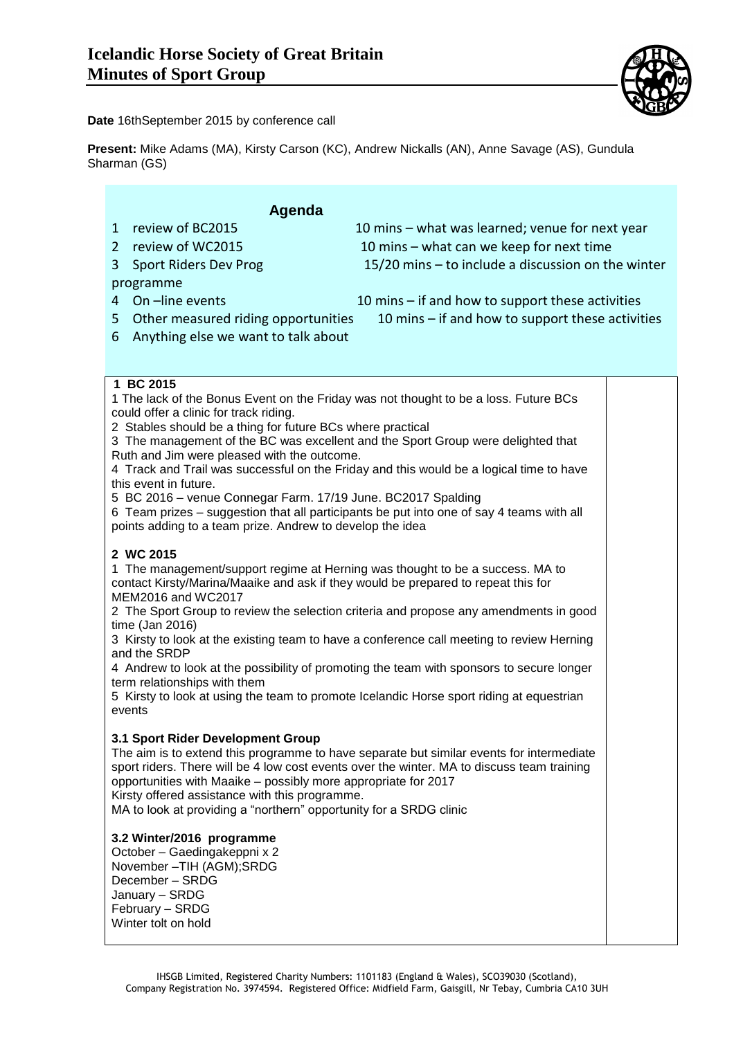

**Date** 16thSeptember 2015 by conference call

**Present:** Mike Adams (MA), Kirsty Carson (KC), Andrew Nickalls (AN), Anne Savage (AS), Gundula Sharman (GS)

## **Agenda**

- 
- 
- programme
- 

1 review of BC2015 10 mins – what was learned; venue for next year 2 review of WC2015 10 mins – what can we keep for next time 3 Sport Riders Dev Prog 15/20 mins – to include a discussion on the winter

- 4 On –line events 10 mins if and how to support these activities
- 5 Other measured riding opportunities 10 mins if and how to support these activities
- 6 Anything else we want to talk about

#### **1 BC 2015**

1 The lack of the Bonus Event on the Friday was not thought to be a loss. Future BCs could offer a clinic for track riding. 2 Stables should be a thing for future BCs where practical 3 The management of the BC was excellent and the Sport Group were delighted that Ruth and Jim were pleased with the outcome. 4 Track and Trail was successful on the Friday and this would be a logical time to have this event in future. 5 BC 2016 – venue Connegar Farm. 17/19 June. BC2017 Spalding 6 Team prizes – suggestion that all participants be put into one of say 4 teams with all points adding to a team prize. Andrew to develop the idea

### **2 WC 2015**

1 The management/support regime at Herning was thought to be a success. MA to contact Kirsty/Marina/Maaike and ask if they would be prepared to repeat this for MEM2016 and WC2017

2 The Sport Group to review the selection criteria and propose any amendments in good time (Jan 2016)

3 Kirsty to look at the existing team to have a conference call meeting to review Herning and the SRDP

4 Andrew to look at the possibility of promoting the team with sponsors to secure longer term relationships with them

5 Kirsty to look at using the team to promote Icelandic Horse sport riding at equestrian events

#### **3.1 Sport Rider Development Group**

The aim is to extend this programme to have separate but similar events for intermediate sport riders. There will be 4 low cost events over the winter. MA to discuss team training opportunities with Maaike – possibly more appropriate for 2017 Kirsty offered assistance with this programme.

MA to look at providing a "northern" opportunity for a SRDG clinic

#### **3.2 Winter/2016 programme**

October – Gaedingakeppni x 2 November –TIH (AGM);SRDG December – SRDG January – SRDG February – SRDG Winter tolt on hold